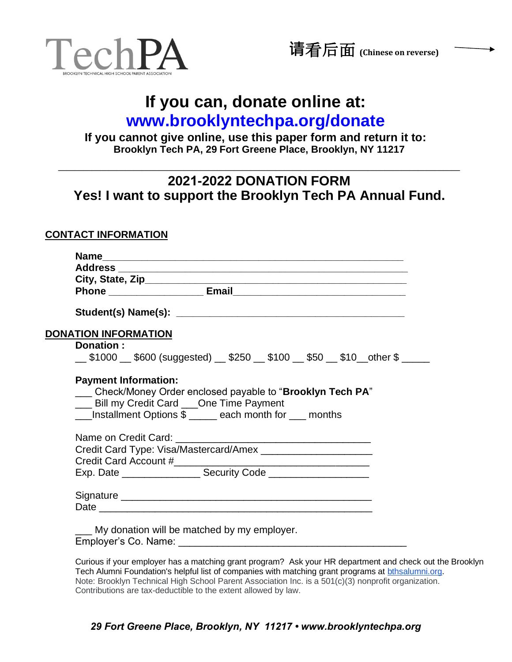

# **If you can, donate online at:**

# **[www.brooklyntechpa.org/donate](http://www.brooklyntechpa.org/donate)**

**If you cannot give online, use this paper form and return it to: Brooklyn Tech PA, 29 Fort Greene Place, Brooklyn, NY 11217**

### **2021-2022 DONATION FORM Yes! I want to support the Brooklyn Tech PA Annual Fund.**

**\_\_\_\_\_\_\_\_\_\_\_\_\_\_\_\_\_\_\_\_\_\_\_\_\_\_\_\_\_\_\_\_\_\_\_\_\_\_\_\_\_\_\_\_\_\_\_\_**

#### **CONTACT INFORMATION**

| <b>DONATION INFORMATION</b> |                                                                                  |
|-----------------------------|----------------------------------------------------------------------------------|
| Donation:                   |                                                                                  |
|                             | __\$1000 __\$600 (suggested) __\$250 __\$100 __\$50 __\$10 __other \$ _____      |
|                             |                                                                                  |
|                             |                                                                                  |
|                             | <b>Payment Information:</b>                                                      |
|                             | Check/Money Order enclosed payable to "Brooklyn Tech PA"                         |
|                             | ___ Bill my Credit Card ___One Time Payment                                      |
|                             | __Installment Options \$ ____ each month for __ months                           |
|                             |                                                                                  |
|                             |                                                                                  |
|                             |                                                                                  |
|                             |                                                                                  |
|                             | Exp. Date ________________________Security Code ________________________________ |
|                             |                                                                                  |

Curious if your employer has a matching grant program? Ask your HR department and check out the Brooklyn Tech Alumni Foundation's helpful list of companies with matching grant programs at [bthsalumni.org.](https://www.bthsalumni.org/) Note: Brooklyn Technical High School Parent Association Inc. is a 501(c)(3) nonprofit organization. Contributions are tax-deductible to the extent allowed by law.

#### *29 Fort Greene Place, Brooklyn, NY 11217 • www.brooklyntechpa.org*